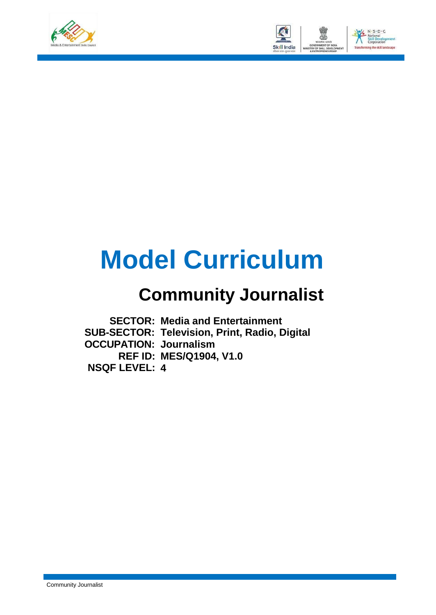



# **Model Curriculum**

## **Community Journalist**

**SECTOR: Media and Entertainment Media and Entertainment SUB-SECTOR: Television, Print, Radio, Digital Television, Print, Radio, Digital OCCUPATION: Journalism Journalism REF ID: MES/Q1904, V1.0 MES/Q1904, V1.0 NSQF LEVEL: 4 4**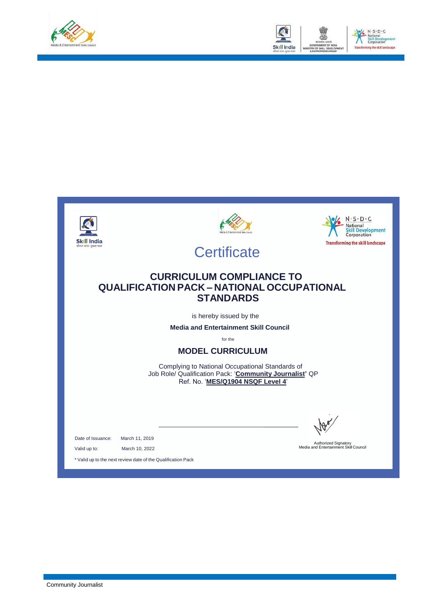



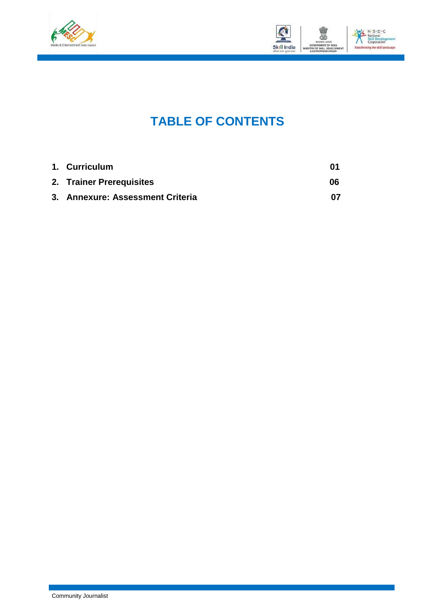



### **TABLE OF CONTENTS**

| 1. Curriculum                    |    |
|----------------------------------|----|
| 2. Trainer Prerequisites         | 06 |
| 3. Annexure: Assessment Criteria | በ7 |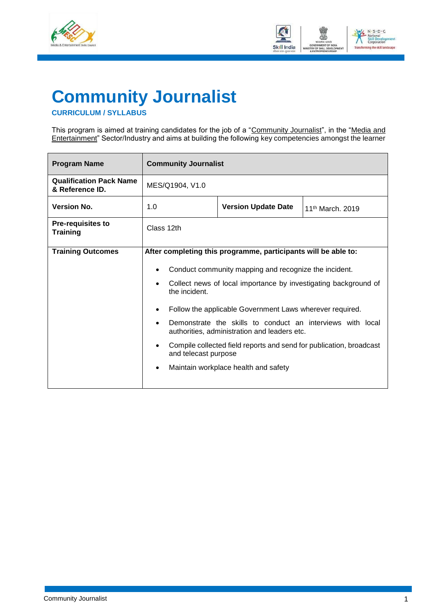



### <span id="page-3-0"></span>**Community Journalist**

#### **CURRICULUM / SYLLABUS**

This program is aimed at training candidates for the job of a "<u>Community Journalist</u>", in the "<u>Media and</u> Entertainment" Sector/Industry and aims at building the following key competencies amongst the learner

| <b>Program Name</b>                               | <b>Community Journalist</b>                        |                                                                                                                                                                                                                                                                                                                                                                                                                                                                                     |                              |  |
|---------------------------------------------------|----------------------------------------------------|-------------------------------------------------------------------------------------------------------------------------------------------------------------------------------------------------------------------------------------------------------------------------------------------------------------------------------------------------------------------------------------------------------------------------------------------------------------------------------------|------------------------------|--|
| <b>Qualification Pack Name</b><br>& Reference ID. | MES/Q1904, V1.0                                    |                                                                                                                                                                                                                                                                                                                                                                                                                                                                                     |                              |  |
| <b>Version No.</b>                                | 1.0                                                | <b>Version Update Date</b>                                                                                                                                                                                                                                                                                                                                                                                                                                                          | 11 <sup>th</sup> March, 2019 |  |
| Pre-requisites to<br><b>Training</b>              | Class 12th                                         |                                                                                                                                                                                                                                                                                                                                                                                                                                                                                     |                              |  |
| <b>Training Outcomes</b>                          | the incident.<br>$\bullet$<br>and telecast purpose | After completing this programme, participants will be able to:<br>Conduct community mapping and recognize the incident.<br>Collect news of local importance by investigating background of<br>Follow the applicable Government Laws wherever required.<br>Demonstrate the skills to conduct an interviews with local<br>authorities, administration and leaders etc.<br>Compile collected field reports and send for publication, broadcast<br>Maintain workplace health and safety |                              |  |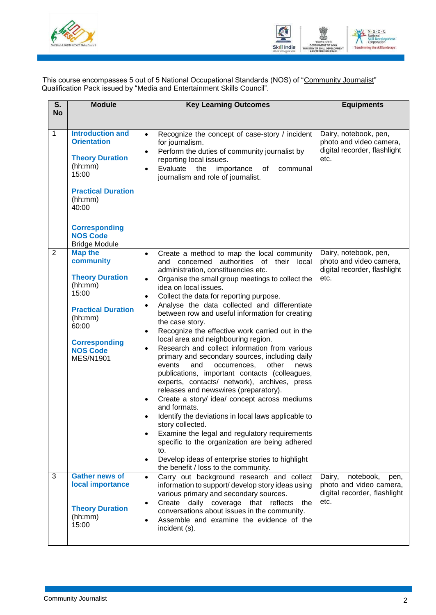



This course encompasses 5 out of 5 National Occupational Standards (NOS) of "Community Journalist" Qualification Pack issued by "Media and Entertainment Skills Council".

| S.             | <b>Module</b>                                                                                                                                                                                                   | <b>Key Learning Outcomes</b>                                                                                                                                                                                                                                                                                                                                                                                                                                                                                                                                                                                                                                                                                                                                                                                                                                                                                                                                                                                                                                                                                                                                                                              | <b>Equipments</b>                                                                              |
|----------------|-----------------------------------------------------------------------------------------------------------------------------------------------------------------------------------------------------------------|-----------------------------------------------------------------------------------------------------------------------------------------------------------------------------------------------------------------------------------------------------------------------------------------------------------------------------------------------------------------------------------------------------------------------------------------------------------------------------------------------------------------------------------------------------------------------------------------------------------------------------------------------------------------------------------------------------------------------------------------------------------------------------------------------------------------------------------------------------------------------------------------------------------------------------------------------------------------------------------------------------------------------------------------------------------------------------------------------------------------------------------------------------------------------------------------------------------|------------------------------------------------------------------------------------------------|
| <b>No</b>      |                                                                                                                                                                                                                 |                                                                                                                                                                                                                                                                                                                                                                                                                                                                                                                                                                                                                                                                                                                                                                                                                                                                                                                                                                                                                                                                                                                                                                                                           |                                                                                                |
| $\mathbf{1}$   | <b>Introduction and</b><br><b>Orientation</b><br><b>Theory Duration</b><br>(hh:mm)<br>15:00<br><b>Practical Duration</b><br>(hh:mm)<br>40:00<br><b>Corresponding</b><br><b>NOS Code</b><br><b>Bridge Module</b> | Recognize the concept of case-story / incident<br>$\bullet$<br>for journalism.<br>Perform the duties of community journalist by<br>$\bullet$<br>reporting local issues.<br>Evaluate<br>the<br>importance<br>of<br>communal<br>$\bullet$<br>journalism and role of journalist.                                                                                                                                                                                                                                                                                                                                                                                                                                                                                                                                                                                                                                                                                                                                                                                                                                                                                                                             | Dairy, notebook, pen,<br>photo and video camera,<br>digital recorder, flashlight<br>etc.       |
| $\overline{2}$ | <b>Map the</b><br>community<br><b>Theory Duration</b><br>(hh:mm)<br>15:00<br><b>Practical Duration</b><br>(hh:mm)<br>60:00<br><b>Corresponding</b><br><b>NOS Code</b><br><b>MES/N1901</b>                       | Create a method to map the local community<br>$\bullet$<br>authorities of their<br>and concerned<br>local<br>administration, constituencies etc.<br>Organise the small group meetings to collect the<br>$\bullet$<br>idea on local issues.<br>Collect the data for reporting purpose.<br>$\bullet$<br>Analyse the data collected and differentiate<br>between row and useful information for creating<br>the case story.<br>Recognize the effective work carried out in the<br>$\bullet$<br>local area and neighbouring region.<br>Research and collect information from various<br>primary and secondary sources, including daily<br>events<br>and<br>occurrences,<br>other<br>news<br>publications, important contacts (colleagues,<br>experts, contacts/ network), archives, press<br>releases and newswires (preparatory).<br>Create a story/ idea/ concept across mediums<br>$\bullet$<br>and formats.<br>Identify the deviations in local laws applicable to<br>story collected.<br>Examine the legal and regulatory requirements<br>$\bullet$<br>specific to the organization are being adhered<br>to.<br>Develop ideas of enterprise stories to highlight<br>the benefit / loss to the community. | Dairy, notebook, pen,<br>photo and video camera,<br>digital recorder, flashlight<br>etc.       |
| 3              | <b>Gather news of</b><br>local importance<br><b>Theory Duration</b><br>(hh:mm)<br>15:00                                                                                                                         | Carry out background research and collect<br>$\bullet$<br>information to support/ develop story ideas using<br>various primary and secondary sources.<br>Create daily coverage that reflects<br>the<br>$\bullet$<br>conversations about issues in the community.<br>Assemble and examine the evidence of the<br>$\bullet$<br>incident (s).                                                                                                                                                                                                                                                                                                                                                                                                                                                                                                                                                                                                                                                                                                                                                                                                                                                                | Dairy,<br>notebook,<br>pen,<br>photo and video camera,<br>digital recorder, flashlight<br>etc. |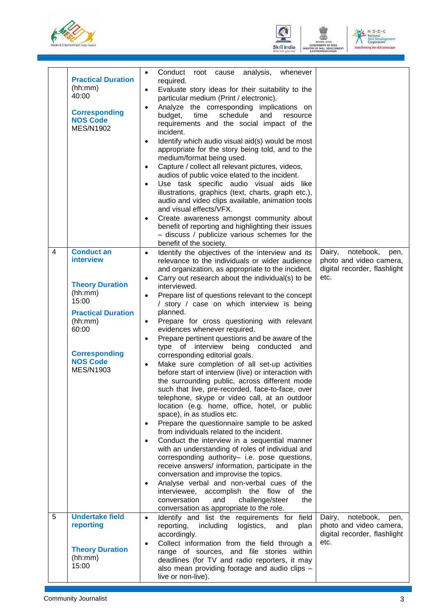![](_page_5_Picture_0.jpeg)

![](_page_5_Picture_1.jpeg)

![](_page_5_Picture_2.jpeg)

|   | <b>Practical Duration</b><br>(hh:mm)<br>40:00<br><b>Corresponding</b><br><b>NOS Code</b><br><b>MES/N1902</b>                                                                                 | Conduct<br>analysis,<br>root cause<br>whenever<br>$\bullet$<br>required.<br>Evaluate story ideas for their suitability to the<br>$\bullet$<br>particular medium (Print / electronic).<br>Analyze the corresponding<br>implications on<br>$\bullet$<br>schedule<br>budget,<br>time<br>and<br>resource<br>requirements and the social impact of the<br>incident.<br>Identify which audio visual aid(s) would be most<br>$\bullet$<br>appropriate for the story being told, and to the<br>medium/format being used.<br>Capture / collect all relevant pictures, videos,<br>$\bullet$<br>audios of public voice elated to the incident.<br>Use task specific audio visual aids like<br>$\bullet$<br>illustrations, graphics (text, charts, graph etc.),<br>audio and video clips available, animation tools<br>and visual effects/VFX.<br>Create awareness amongst community about<br>$\bullet$<br>benefit of reporting and highlighting their issues<br>- discuss / publicize various schemes for the<br>benefit of the society.                                                                                                                                                                                                                                                                                                                                                                                                                                                                                                                                                  |                                                                                                |
|---|----------------------------------------------------------------------------------------------------------------------------------------------------------------------------------------------|--------------------------------------------------------------------------------------------------------------------------------------------------------------------------------------------------------------------------------------------------------------------------------------------------------------------------------------------------------------------------------------------------------------------------------------------------------------------------------------------------------------------------------------------------------------------------------------------------------------------------------------------------------------------------------------------------------------------------------------------------------------------------------------------------------------------------------------------------------------------------------------------------------------------------------------------------------------------------------------------------------------------------------------------------------------------------------------------------------------------------------------------------------------------------------------------------------------------------------------------------------------------------------------------------------------------------------------------------------------------------------------------------------------------------------------------------------------------------------------------------------------------------------------------------------------------------------|------------------------------------------------------------------------------------------------|
| 4 | <b>Conduct an</b><br>interview<br><b>Theory Duration</b><br>(hh:mm)<br>15:00<br><b>Practical Duration</b><br>(hh:mm)<br>60:00<br><b>Corresponding</b><br><b>NOS Code</b><br><b>MES/N1903</b> | Identify the objectives of the interview and its<br>$\bullet$<br>relevance to the individuals or wider audience<br>and organization, as appropriate to the incident.<br>Carry out research about the individual(s) to be<br>$\bullet$<br>interviewed.<br>Prepare list of questions relevant to the concept<br>$\bullet$<br>/ story / case on which interview is being<br>planned.<br>Prepare for cross questioning with relevant<br>$\bullet$<br>evidences whenever required.<br>Prepare pertinent questions and be aware of the<br>$\bullet$<br>type of interview being<br>conducted<br>and<br>corresponding editorial goals.<br>Make sure completion of all set-up activities<br>$\bullet$<br>before start of interview (live) or interaction with<br>the surrounding public, across different mode<br>such that live, pre-recorded, face-to-face, over<br>telephone, skype or video call, at an outdoor<br>location (e.g. home, office, hotel, or public<br>space), in as studios etc.<br>Prepare the questionnaire sample to be asked<br>$\bullet$<br>from individuals related to the incident.<br>Conduct the interview in a sequential manner<br>$\bullet$<br>with an understanding of roles of individual and<br>corresponding authority- i.e. pose questions,<br>receive answers/ information, participate in the<br>conversation and improvise the topics.<br>Analyse verbal and non-verbal cues of the<br>$\bullet$<br>interviewee,<br>accomplish the flow<br>of<br>the<br>conversation<br>and<br>challenge/steer<br>the<br>conversation as appropriate to the role. | notebook,<br>Dairy,<br>pen,<br>photo and video camera,<br>digital recorder, flashlight<br>etc. |
| 5 | <b>Undertake field</b><br>reporting<br><b>Theory Duration</b><br>(hh:mm)<br>15:00                                                                                                            | Identify and list the requirements for field<br>$\bullet$<br>including<br>logistics,<br>reporting,<br>and<br>plan<br>accordingly.<br>Collect information from the field through a<br>range of sources, and file stories within<br>deadlines (for TV and radio reporters, it may<br>also mean providing footage and audio clips -<br>live or non-live).                                                                                                                                                                                                                                                                                                                                                                                                                                                                                                                                                                                                                                                                                                                                                                                                                                                                                                                                                                                                                                                                                                                                                                                                                         | notebook,<br>Dairy,<br>pen,<br>photo and video camera,<br>digital recorder, flashlight<br>etc. |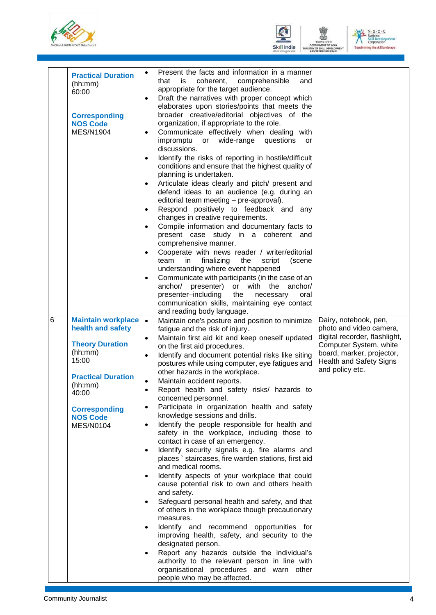![](_page_6_Picture_0.jpeg)

![](_page_6_Picture_1.jpeg)

![](_page_6_Picture_2.jpeg)

|                 | <b>Practical Duration</b><br>(hh:mm)<br>60:00<br><b>Corresponding</b><br><b>NOS Code</b><br><b>MES/N1904</b>                                                                                                 | Present the facts and information in a manner<br>$\bullet$<br>that<br>is<br>coherent,<br>comprehensible<br>and<br>appropriate for the target audience.<br>Draft the narratives with proper concept which<br>$\bullet$<br>elaborates upon stories/points that meets the<br>broader creative/editorial objectives of the<br>organization, if appropriate to the role.<br>Communicate effectively when dealing with<br>$\bullet$<br>impromptu or wide-range questions<br><b>or</b><br>discussions.<br>Identify the risks of reporting in hostile/difficult<br>$\bullet$<br>conditions and ensure that the highest quality of<br>planning is undertaken.<br>Articulate ideas clearly and pitch/ present and<br>$\bullet$<br>defend ideas to an audience (e.g. during an<br>editorial team meeting - pre-approval).<br>Respond positively to feedback and any<br>$\bullet$<br>changes in creative requirements.<br>Compile information and documentary facts to<br>$\bullet$<br>present case study in a coherent and<br>comprehensive manner.<br>Cooperate with news reader / writer/editorial<br>$\bullet$<br>team in<br>finalizing<br>the<br>script<br>(scene<br>understanding where event happened<br>Communicate with participants (in the case of an<br>$\bullet$<br>anchor/ presenter) or with the<br>anchor/<br>presenter-including<br>the<br>necessary<br>oral<br>communication skills, maintaining eye contact<br>and reading body language.            |                                                                                                                                                                                               |
|-----------------|--------------------------------------------------------------------------------------------------------------------------------------------------------------------------------------------------------------|-------------------------------------------------------------------------------------------------------------------------------------------------------------------------------------------------------------------------------------------------------------------------------------------------------------------------------------------------------------------------------------------------------------------------------------------------------------------------------------------------------------------------------------------------------------------------------------------------------------------------------------------------------------------------------------------------------------------------------------------------------------------------------------------------------------------------------------------------------------------------------------------------------------------------------------------------------------------------------------------------------------------------------------------------------------------------------------------------------------------------------------------------------------------------------------------------------------------------------------------------------------------------------------------------------------------------------------------------------------------------------------------------------------------------------------------------------------|-----------------------------------------------------------------------------------------------------------------------------------------------------------------------------------------------|
| $6\phantom{1}6$ | <b>Maintain workplace</b><br>health and safety<br><b>Theory Duration</b><br>(hh:mm)<br>15:00<br><b>Practical Duration</b><br>(hh:mm)<br>40:00<br><b>Corresponding</b><br><b>NOS Code</b><br><b>MES/N0104</b> | Maintain one's posture and position to minimize<br>$\bullet$<br>fatigue and the risk of injury.<br>Maintain first aid kit and keep oneself updated<br>$\bullet$<br>on the first aid procedures.<br>Identify and document potential risks like siting<br>$\bullet$<br>postures while using computer, eye fatigues and<br>other hazards in the workplace.<br>Maintain accident reports.<br>$\bullet$<br>Report health and safety risks/ hazards to<br>concerned personnel.<br>Participate in organization health and safety<br>$\bullet$<br>knowledge sessions and drills.<br>Identify the people responsible for health and<br>$\bullet$<br>safety in the workplace, including those to<br>contact in case of an emergency.<br>Identify security signals e.g. fire alarms and<br>$\bullet$<br>places `staircases, fire warden stations, first aid<br>and medical rooms.<br>Identify aspects of your workplace that could<br>$\bullet$<br>cause potential risk to own and others health<br>and safety.<br>Safeguard personal health and safety, and that<br>$\bullet$<br>of others in the workplace though precautionary<br>measures.<br>Identify and recommend opportunities for<br>$\bullet$<br>improving health, safety, and security to the<br>designated person.<br>Report any hazards outside the individual's<br>$\bullet$<br>authority to the relevant person in line with<br>organisational procedures and warn other<br>people who may be affected. | Dairy, notebook, pen,<br>photo and video camera,<br>digital recorder, flashlight,<br>Computer System, white<br>board, marker, projector,<br><b>Health and Safety Signs</b><br>and policy etc. |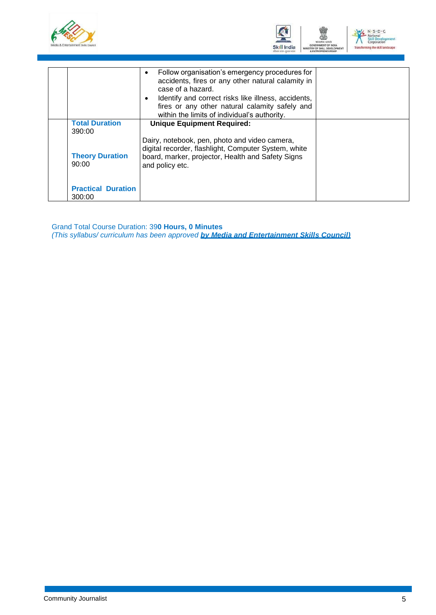![](_page_7_Picture_0.jpeg)

![](_page_7_Picture_1.jpeg)

|                                     | Follow organisation's emergency procedures for<br>$\bullet$<br>accidents, fires or any other natural calamity in<br>case of a hazard.<br>Identify and correct risks like illness, accidents,<br>$\bullet$<br>fires or any other natural calamity safely and<br>within the limits of individual's authority. |  |
|-------------------------------------|-------------------------------------------------------------------------------------------------------------------------------------------------------------------------------------------------------------------------------------------------------------------------------------------------------------|--|
| <b>Total Duration</b><br>390:00     | <b>Unique Equipment Required:</b>                                                                                                                                                                                                                                                                           |  |
| <b>Theory Duration</b><br>90:00     | Dairy, notebook, pen, photo and video camera,<br>digital recorder, flashlight, Computer System, white<br>board, marker, projector, Health and Safety Signs<br>and policy etc.                                                                                                                               |  |
| <b>Practical Duration</b><br>300:00 |                                                                                                                                                                                                                                                                                                             |  |

Grand Total Course Duration: 39**0 Hours, 0 Minutes** *(This syllabus/ curriculum has been approved by Media and Entertainment Skills Council)*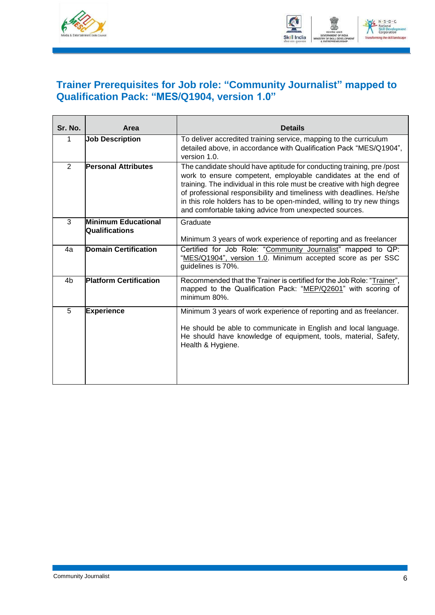![](_page_8_Picture_0.jpeg)

![](_page_8_Picture_1.jpeg)

#### <span id="page-8-0"></span>**Trainer Prerequisites for Job role: "Community Journalist" mapped to Qualification Pack: "MES/Q1904, version 1.0"**

| Sr. No.        | Area                                         | <b>Details</b>                                                                                                                                                                                                                                                                                                                                                                                                              |
|----------------|----------------------------------------------|-----------------------------------------------------------------------------------------------------------------------------------------------------------------------------------------------------------------------------------------------------------------------------------------------------------------------------------------------------------------------------------------------------------------------------|
| 1              | <b>Job Description</b>                       | To deliver accredited training service, mapping to the curriculum<br>detailed above, in accordance with Qualification Pack "MES/Q1904",<br>version 1.0.                                                                                                                                                                                                                                                                     |
| $\overline{2}$ | <b>Personal Attributes</b>                   | The candidate should have aptitude for conducting training, pre/post<br>work to ensure competent, employable candidates at the end of<br>training. The individual in this role must be creative with high degree<br>of professional responsibility and timeliness with deadlines. He/she<br>in this role holders has to be open-minded, willing to try new things<br>and comfortable taking advice from unexpected sources. |
| 3              | <b>Minimum Educational</b><br>Qualifications | Graduate<br>Minimum 3 years of work experience of reporting and as freelancer                                                                                                                                                                                                                                                                                                                                               |
| 4a             | <b>Domain Certification</b>                  | Certified for Job Role: "Community Journalist" mapped to QP:<br>"MES/Q1904", version 1.0. Minimum accepted score as per SSC<br>guidelines is 70%.                                                                                                                                                                                                                                                                           |
| 4 <sub>b</sub> | <b>Platform Certification</b>                | Recommended that the Trainer is certified for the Job Role: "Trainer",<br>mapped to the Qualification Pack: "MEP/Q2601" with scoring of<br>minimum 80%.                                                                                                                                                                                                                                                                     |
| 5              | <b>Experience</b>                            | Minimum 3 years of work experience of reporting and as freelancer.<br>He should be able to communicate in English and local language.<br>He should have knowledge of equipment, tools, material, Safety,<br>Health & Hygiene.                                                                                                                                                                                               |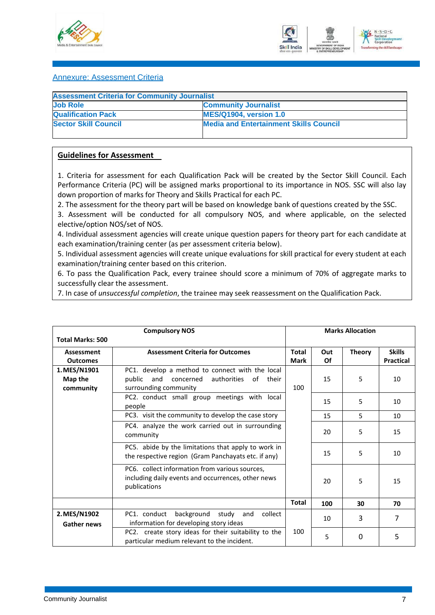![](_page_9_Picture_0.jpeg)

![](_page_9_Picture_1.jpeg)

#### <span id="page-9-0"></span>Annexure: Assessment Criteria

| <b>Assessment Criteria for Community Journalist</b> |                                               |
|-----------------------------------------------------|-----------------------------------------------|
| <b>Job Role</b>                                     | <b>Community Journalist</b>                   |
| <b>Qualification Pack</b>                           | <b>MES/Q1904, version 1.0</b>                 |
| <b>Sector Skill Council</b>                         | <b>Media and Entertainment Skills Council</b> |

#### **Guidelines for Assessment**

1. Criteria for assessment for each Qualification Pack will be created by the Sector Skill Council. Each Performance Criteria (PC) will be assigned marks proportional to its importance in NOS. SSC will also lay down proportion of marks for Theory and Skills Practical for each PC.

2. The assessment for the theory part will be based on knowledge bank of questions created by the SSC.

3. Assessment will be conducted for all compulsory NOS, and where applicable, on the selected elective/option NOS/set of NOS.

4. Individual assessment agencies will create unique question papers for theory part for each candidate at each examination/training center (as per assessment criteria below).

5. Individual assessment agencies will create unique evaluations for skill practical for every student at each examination/training center based on this criterion.

6. To pass the Qualification Pack, every trainee should score a minimum of 70% of aggregate marks to successfully clear the assessment.

7. In case of *unsuccessful completion*, the trainee may seek reassessment on the Qualification Pack.

|                                      | <b>Compulsory NOS</b>                                                                                                                |                             |           | <b>Marks Allocation</b> |                                   |
|--------------------------------------|--------------------------------------------------------------------------------------------------------------------------------------|-----------------------------|-----------|-------------------------|-----------------------------------|
| <b>Total Marks: 500</b>              |                                                                                                                                      |                             |           |                         |                                   |
| Assessment<br><b>Outcomes</b>        | <b>Assessment Criteria for Outcomes</b>                                                                                              | <b>Total</b><br><b>Mark</b> | Out<br>Of | <b>Theory</b>           | <b>Skills</b><br><b>Practical</b> |
| 1. MES/N1901<br>Map the<br>community | PC1. develop a method to connect with the local<br>concerned<br>authorities<br>and<br>public<br>of<br>their<br>surrounding community | 100                         | 15        | 5                       | 10                                |
|                                      | PC2. conduct small group meetings with local<br>people                                                                               |                             | 15        | 5                       | 10                                |
|                                      | PC3. visit the community to develop the case story                                                                                   |                             | 15        | 5                       | 10                                |
|                                      | PC4. analyze the work carried out in surrounding<br>community                                                                        |                             | 20        | 5                       | 15                                |
|                                      | PC5. abide by the limitations that apply to work in<br>the respective region (Gram Panchayats etc. if any)                           |                             | 15        | 5                       | 10                                |
|                                      | PC6. collect information from various sources,<br>including daily events and occurrences, other news<br>publications                 |                             | 20        | 5                       | 15                                |
|                                      |                                                                                                                                      | Total                       | 100       | 30                      | 70                                |
| 2. MES/N1902<br><b>Gather news</b>   | background study<br>PC1. conduct<br>and<br>collect<br>information for developing story ideas                                         |                             | 10        | 3                       | $\overline{7}$                    |
|                                      | PC2. create story ideas for their suitability to the<br>particular medium relevant to the incident.                                  | 100                         | 5         | 0                       | 5                                 |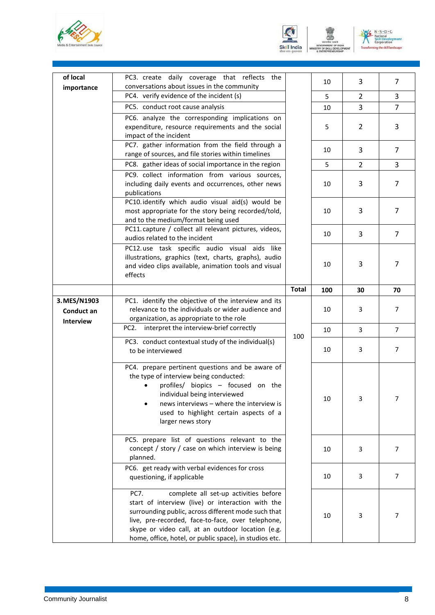![](_page_10_Picture_0.jpeg)

![](_page_10_Picture_1.jpeg)

![](_page_10_Picture_2.jpeg)

| of local                                | PC3. create daily coverage that reflects the                                                                                                                                                                                                                                                                                  |              |     |                |                |
|-----------------------------------------|-------------------------------------------------------------------------------------------------------------------------------------------------------------------------------------------------------------------------------------------------------------------------------------------------------------------------------|--------------|-----|----------------|----------------|
| importance                              | conversations about issues in the community                                                                                                                                                                                                                                                                                   |              | 10  | 3              | 7              |
|                                         | PC4. verify evidence of the incident (s)                                                                                                                                                                                                                                                                                      |              | 5   | $\overline{2}$ | 3              |
|                                         | PC5. conduct root cause analysis                                                                                                                                                                                                                                                                                              |              | 10  | 3              | $\overline{7}$ |
|                                         | PC6. analyze the corresponding implications on<br>expenditure, resource requirements and the social<br>impact of the incident                                                                                                                                                                                                 |              | 5   | $\overline{2}$ | 3              |
|                                         | PC7. gather information from the field through a<br>range of sources, and file stories within timelines                                                                                                                                                                                                                       |              | 10  | 3              | 7              |
|                                         | PC8. gather ideas of social importance in the region                                                                                                                                                                                                                                                                          |              | 5   | $\overline{2}$ | 3              |
|                                         | PC9. collect information from various sources,<br>including daily events and occurrences, other news<br>publications                                                                                                                                                                                                          |              | 10  | 3              | 7              |
|                                         | PC10. identify which audio visual aid(s) would be<br>most appropriate for the story being recorded/told,<br>and to the medium/format being used                                                                                                                                                                               |              | 10  | 3              | 7              |
|                                         | PC11. capture / collect all relevant pictures, videos,<br>audios related to the incident                                                                                                                                                                                                                                      |              | 10  | 3              | 7              |
|                                         | PC12.use task specific audio visual aids like<br>illustrations, graphics (text, charts, graphs), audio<br>and video clips available, animation tools and visual<br>effects                                                                                                                                                    |              | 10  | 3              | 7              |
|                                         |                                                                                                                                                                                                                                                                                                                               | <b>Total</b> | 100 | 30             | 70             |
| 3. MES/N1903<br>Conduct an<br>Interview | PC1. identify the objective of the interview and its<br>relevance to the individuals or wider audience and<br>organization, as appropriate to the role                                                                                                                                                                        |              | 10  | 3              | $\overline{7}$ |
|                                         | PC2. interpret the interview-brief correctly                                                                                                                                                                                                                                                                                  |              | 10  | 3              | $\overline{7}$ |
|                                         | PC3. conduct contextual study of the individual(s)<br>to be interviewed                                                                                                                                                                                                                                                       | 100          | 10  | 3              | 7              |
|                                         | PC4. prepare pertinent questions and be aware of<br>the type of interview being conducted:<br>profiles/ biopics - focused on the<br>individual being interviewed<br>news interviews - where the interview is<br>used to highlight certain aspects of a<br>larger news story                                                   |              | 10  | 3              | $\prime$       |
|                                         | PC5. prepare list of questions relevant to the<br>concept / story / case on which interview is being<br>planned.                                                                                                                                                                                                              |              | 10  | 3              | 7              |
|                                         | PC6. get ready with verbal evidences for cross<br>questioning, if applicable                                                                                                                                                                                                                                                  |              | 10  | 3              | 7              |
|                                         | complete all set-up activities before<br>PC7.<br>start of interview (live) or interaction with the<br>surrounding public, across different mode such that<br>live, pre-recorded, face-to-face, over telephone,<br>skype or video call, at an outdoor location (e.g.<br>home, office, hotel, or public space), in studios etc. |              | 10  | 3              | 7              |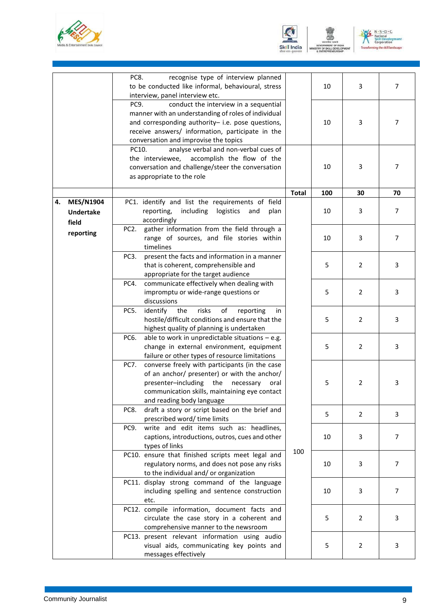![](_page_11_Picture_0.jpeg)

![](_page_11_Picture_1.jpeg)

![](_page_11_Picture_2.jpeg)

|    |                                               | PC8.<br>recognise type of interview planned<br>to be conducted like informal, behavioural, stress<br>interview, panel interview etc.                                                                                                                   |              | 10  | 3              | $\overline{7}$ |
|----|-----------------------------------------------|--------------------------------------------------------------------------------------------------------------------------------------------------------------------------------------------------------------------------------------------------------|--------------|-----|----------------|----------------|
|    |                                               | PC9.<br>conduct the interview in a sequential<br>manner with an understanding of roles of individual<br>and corresponding authority- i.e. pose questions,<br>receive answers/ information, participate in the<br>conversation and improvise the topics |              | 10  | 3              | 7              |
|    |                                               | analyse verbal and non-verbal cues of<br>PC10.<br>the interviewee,<br>accomplish the flow of the<br>conversation and challenge/steer the conversation<br>as appropriate to the role                                                                    |              | 10  | 3              | 7              |
|    |                                               |                                                                                                                                                                                                                                                        | <b>Total</b> | 100 | 30             | 70             |
| 4. | <b>MES/N1904</b><br><b>Undertake</b><br>field | PC1. identify and list the requirements of field<br>reporting,<br>including<br>logistics<br>and<br>plan<br>accordingly                                                                                                                                 |              | 10  | 3              | 7              |
|    | reporting                                     | gather information from the field through a<br>PC <sub>2</sub> .<br>range of sources, and file stories within<br>timelines                                                                                                                             |              | 10  | 3              | $\overline{7}$ |
|    |                                               | present the facts and information in a manner<br>PC3.<br>that is coherent, comprehensible and<br>appropriate for the target audience                                                                                                                   |              | 5   | $\overline{2}$ | 3              |
|    |                                               | communicate effectively when dealing with<br>PC4.<br>impromptu or wide-range questions or<br>discussions                                                                                                                                               |              | 5   | $\overline{2}$ | 3              |
|    |                                               | PC5.<br>identify<br>risks<br>of<br>the<br>reporting<br>in.<br>hostile/difficult conditions and ensure that the<br>highest quality of planning is undertaken                                                                                            |              | 5   | $\overline{2}$ | 3              |
|    |                                               | able to work in unpredictable situations $-$ e.g.<br>PC6.<br>change in external environment, equipment<br>failure or other types of resource limitations                                                                                               |              | 5   | $\overline{2}$ | 3              |
|    |                                               | converse freely with participants (in the case<br>PC7.<br>of an anchor/ presenter) or with the anchor/<br>the<br>presenter-including<br>necessary<br>oral<br>communication skills, maintaining eye contact<br>and reading body language                |              | 5   | $\overline{2}$ | 3              |
|    |                                               | draft a story or script based on the brief and<br>PC8.<br>prescribed word/ time limits                                                                                                                                                                 |              | 5   | $\overline{2}$ | 3              |
|    |                                               | write and edit items such as: headlines,<br>PC9.<br>captions, introductions, outros, cues and other<br>types of links                                                                                                                                  |              | 10  | 3              | 7              |
|    |                                               | PC10. ensure that finished scripts meet legal and<br>regulatory norms, and does not pose any risks<br>to the individual and/ or organization                                                                                                           | 100          | 10  | 3              | 7              |
|    |                                               | PC11. display strong command of the language<br>including spelling and sentence construction<br>etc.                                                                                                                                                   |              | 10  | 3              | 7              |
|    |                                               | PC12. compile information, document facts and<br>circulate the case story in a coherent and<br>comprehensive manner to the newsroom                                                                                                                    |              | 5   | $\overline{2}$ | 3              |
|    |                                               | PC13. present relevant information using audio<br>visual aids, communicating key points and<br>messages effectively                                                                                                                                    |              | 5   | $\overline{2}$ | 3              |